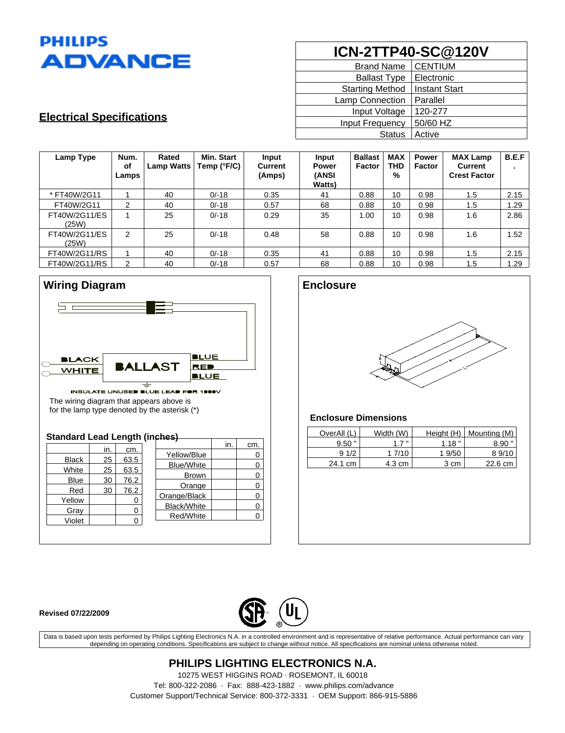# **PHILIPS ADVANCE**

# **ICN-2TTP40-SC@120V**

| <b>CENTIUM</b>       |
|----------------------|
| Electronic           |
| <b>Instant Start</b> |
| Parallel             |
| 120-277              |
| 50/60 HZ             |
| Active               |
|                      |

# **Electrical Specifications**

| Lamp Type              | Num.<br>оf<br>Lamps | Rated<br><b>Lamp Watts</b> | Min. Start<br>Temp (°F/C) | Input<br>Current<br>(Amps) | Input<br><b>Power</b><br>(ANSI<br><b>Watts</b> ) | <b>Ballast</b><br><b>Factor</b> | <b>MAX</b><br>THD<br>% | <b>Power</b><br><b>Factor</b> | <b>MAX Lamp</b><br><b>Current</b><br><b>Crest Factor</b> | B.E.F |
|------------------------|---------------------|----------------------------|---------------------------|----------------------------|--------------------------------------------------|---------------------------------|------------------------|-------------------------------|----------------------------------------------------------|-------|
| * FT40W/2G11           |                     | 40                         | $0/-18$                   | 0.35                       | 41                                               | 0.88                            | 10                     | 0.98                          | 1.5                                                      | 2.15  |
| FT40W/2G11             | 2                   | 40                         | $0/-18$                   | 0.57                       | 68                                               | 0.88                            | 10                     | 0.98                          | 1.5                                                      | 1.29  |
| FT40W/2G11/ES<br>(25W) |                     | 25                         | $0/-18$                   | 0.29                       | 35                                               | 1.00                            | 10                     | 0.98                          | 1.6                                                      | 2.86  |
| FT40W/2G11/ES<br>(25W) | 2                   | 25                         | $0/-18$                   | 0.48                       | 58                                               | 0.88                            | 10                     | 0.98                          | 1.6                                                      | .52   |
| FT40W/2G11/RS          |                     | 40                         | $0/-18$                   | 0.35                       | 41                                               | 0.88                            | 10                     | 0.98                          | 1.5                                                      | 2.15  |
| FT40W/2G11/RS          | 2                   | 40                         | $0/-18$                   | 0.57                       | 68                                               | 0.88                            | 10                     | 0.98                          | 1.5                                                      | .29   |



#### INSULATE UNUSED BLUE LEAD FOR 1000V The wiring diagram that appears above is for the lamp type denoted by the asterisk (\*)

#### **Standard Lead Length (inches)**

|              |     |      |  |                   | in. | cm. |
|--------------|-----|------|--|-------------------|-----|-----|
|              | in. | cm.  |  | Yellow/Blue       |     |     |
| <b>Black</b> | 25  | 63.5 |  |                   |     |     |
| White        | 25  | 63.5 |  | <b>Blue/White</b> |     |     |
|              |     |      |  | <b>Brown</b>      |     |     |
| Blue         | 30  | 76.2 |  | Orange            |     |     |
| Red          | 30  | 76.2 |  |                   |     |     |
| Yellow       |     | 0    |  | Orange/Black      |     |     |
|              |     |      |  | Black/White       |     |     |
| Gray         |     | 0    |  |                   |     |     |
| Violet       |     |      |  | Red/White         |     |     |
|              |     |      |  |                   |     |     |
|              |     |      |  |                   |     |     |



#### **Enclosure Dimensions**

| OverAll (L) | Width (W) | Height $(H)$ | Mounting (M) |
|-------------|-----------|--------------|--------------|
| $9.50$ "    |           | 1.18         | 8.90         |
| 91/2        | 1 7/10    | 1 9/50       | 89/10        |
| 24.1 cm     | 4.3 cm    | 3 cm         | 22.6 cm      |

#### **Revised 07/22/2009**



Data is based upon tests performed by Philips Lighting Electronics N.A. in a controlled environment and is representative of relative performance. Actual performance can vary depending on operating conditions. Specifications are subject to change without notice. All specifications are nominal unless otherwise noted.

# **PHILIPS LIGHTING ELECTRONICS N.A.**

10275 WEST HIGGINS ROAD · ROSEMONT, IL 60018 Tel: 800-322-2086 · Fax: 888-423-1882 · www.philips.com/advance Customer Support/Technical Service: 800-372-3331 · OEM Support: 866-915-5886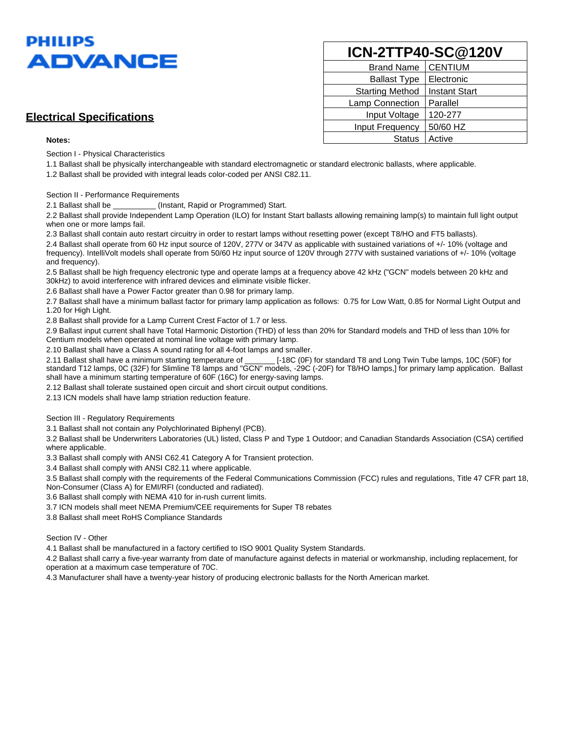

### **Electrical Specifications**

#### **Notes:**

Section I - Physical Characteristics

1.1 Ballast shall be physically interchangeable with standard electromagnetic or standard electronic ballasts, where applicable.

1.2 Ballast shall be provided with integral leads color-coded per ANSI C82.11.

#### Section II - Performance Requirements

2.1 Ballast shall be \_\_\_\_\_\_\_\_\_\_ (Instant, Rapid or Programmed) Start.

2.2 Ballast shall provide Independent Lamp Operation (ILO) for Instant Start ballasts allowing remaining lamp(s) to maintain full light output when one or more lamps fail.

2.3 Ballast shall contain auto restart circuitry in order to restart lamps without resetting power (except T8/HO and FT5 ballasts).

2.4 Ballast shall operate from 60 Hz input source of 120V, 277V or 347V as applicable with sustained variations of +/- 10% (voltage and frequency). IntelliVolt models shall operate from 50/60 Hz input source of 120V through 277V with sustained variations of +/- 10% (voltage and frequency).

2.5 Ballast shall be high frequency electronic type and operate lamps at a frequency above 42 kHz ("GCN" models between 20 kHz and 30kHz) to avoid interference with infrared devices and eliminate visible flicker.

2.6 Ballast shall have a Power Factor greater than 0.98 for primary lamp.

2.7 Ballast shall have a minimum ballast factor for primary lamp application as follows: 0.75 for Low Watt, 0.85 for Normal Light Output and 1.20 for High Light.

2.8 Ballast shall provide for a Lamp Current Crest Factor of 1.7 or less.

2.9 Ballast input current shall have Total Harmonic Distortion (THD) of less than 20% for Standard models and THD of less than 10% for Centium models when operated at nominal line voltage with primary lamp.

2.10 Ballast shall have a Class A sound rating for all 4-foot lamps and smaller.

2.11 Ballast shall have a minimum starting temperature of \_\_\_\_\_\_\_ [-18C (0F) for standard T8 and Long Twin Tube lamps, 10C (50F) for standard T12 lamps, 0C (32F) for Slimline T8 lamps and "GCN" models, -29C (-20F) for T8/HO lamps,] for primary lamp application. Ballast shall have a minimum starting temperature of 60F (16C) for energy-saving lamps.

2.12 Ballast shall tolerate sustained open circuit and short circuit output conditions.

2.13 ICN models shall have lamp striation reduction feature.

Section III - Regulatory Requirements

3.1 Ballast shall not contain any Polychlorinated Biphenyl (PCB).

3.2 Ballast shall be Underwriters Laboratories (UL) listed, Class P and Type 1 Outdoor; and Canadian Standards Association (CSA) certified where applicable.

3.3 Ballast shall comply with ANSI C62.41 Category A for Transient protection.

3.4 Ballast shall comply with ANSI C82.11 where applicable.

3.5 Ballast shall comply with the requirements of the Federal Communications Commission (FCC) rules and regulations, Title 47 CFR part 18, Non-Consumer (Class A) for EMI/RFI (conducted and radiated).

3.6 Ballast shall comply with NEMA 410 for in-rush current limits.

3.7 ICN models shall meet NEMA Premium/CEE requirements for Super T8 rebates

3.8 Ballast shall meet RoHS Compliance Standards

Section IV - Other

4.1 Ballast shall be manufactured in a factory certified to ISO 9001 Quality System Standards.

4.2 Ballast shall carry a five-year warranty from date of manufacture against defects in material or workmanship, including replacement, for operation at a maximum case temperature of 70C.

4.3 Manufacturer shall have a twenty-year history of producing electronic ballasts for the North American market.

| IUN'Z I TEHU'OU W IZU Y |
|-------------------------|
| <b>CENTIUM</b>          |
| Electronic              |
| <b>Instant Start</b>    |
| Parallel                |
| 120-277                 |
| 50/60 HZ                |
| Active                  |
|                         |

**ICN-2TTP40-SC@120V**